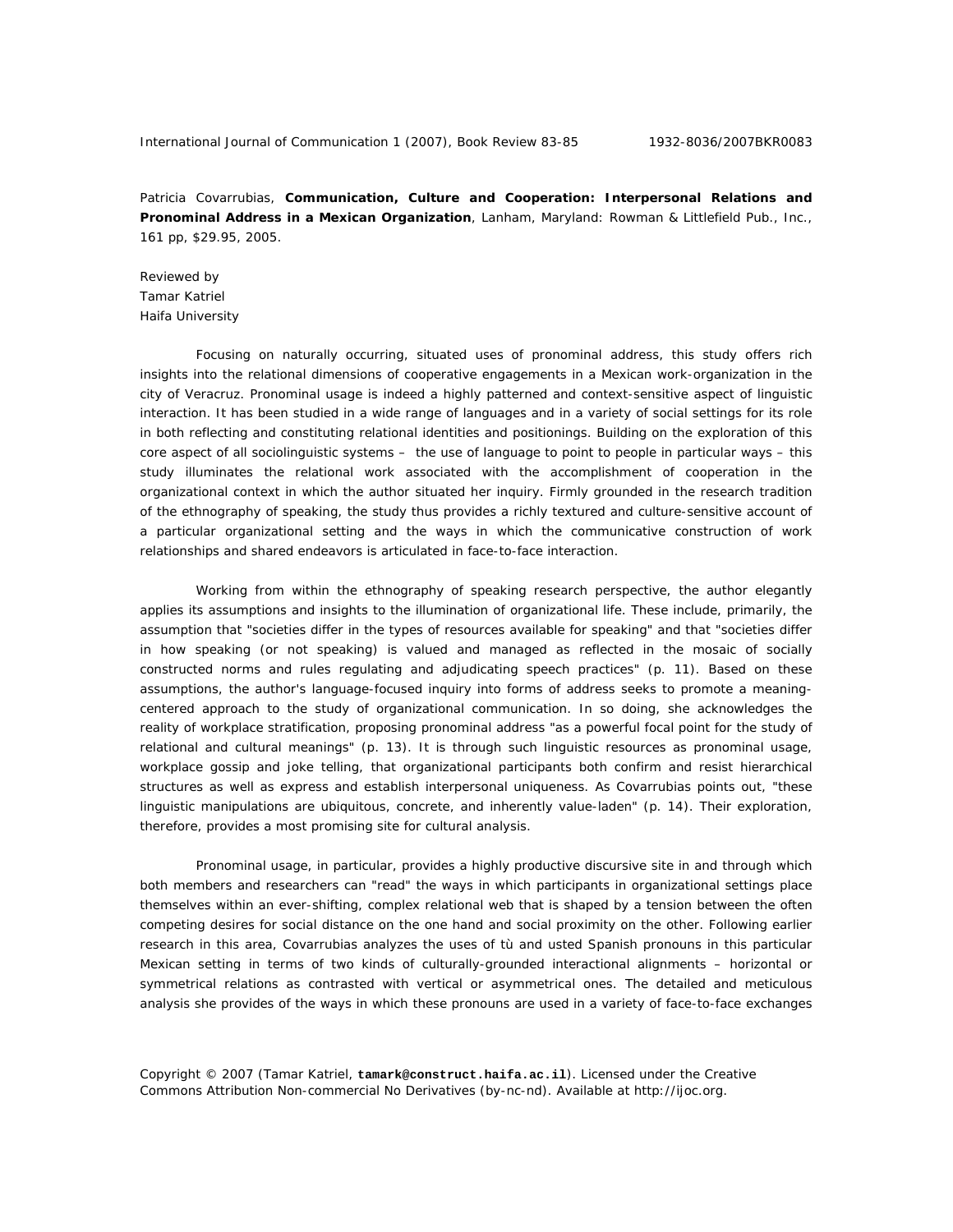Patricia Covarrubias, **Communication, Culture and Cooperation: Interpersonal Relations and Pronominal Address in a Mexican Organization**, Lanham, Maryland: Rowman & Littlefield Pub., Inc., 161 pp, \$29.95, 2005.

Reviewed by Tamar Katriel Haifa University

Focusing on naturally occurring, situated uses of pronominal address, this study offers rich insights into the relational dimensions of cooperative engagements in a Mexican work-organization in the city of Veracruz. Pronominal usage is indeed a highly patterned and context-sensitive aspect of linguistic interaction. It has been studied in a wide range of languages and in a variety of social settings for its role in both reflecting and constituting relational identities and positionings. Building on the exploration of this core aspect of all sociolinguistic systems – the use of language to point to people in particular ways – this study illuminates the relational work associated with the accomplishment of cooperation in the organizational context in which the author situated her inquiry. Firmly grounded in the research tradition of the ethnography of speaking, the study thus provides a richly textured and culture-sensitive account of a particular organizational setting and the ways in which the communicative construction of work relationships and shared endeavors is articulated in face-to-face interaction.

Working from within the ethnography of speaking research perspective, the author elegantly applies its assumptions and insights to the illumination of organizational life. These include, primarily, the assumption that "societies differ in the types of resources available for speaking" and that "societies differ in how speaking (or not speaking) is valued and managed as reflected in the mosaic of socially constructed norms and rules regulating and adjudicating speech practices" (p. 11). Based on these assumptions, the author's language-focused inquiry into forms of address seeks to promote a meaningcentered approach to the study of organizational communication. In so doing, she acknowledges the reality of workplace stratification, proposing pronominal address "as a powerful focal point for the study of relational and cultural meanings" (p. 13). It is through such linguistic resources as pronominal usage, workplace gossip and joke telling, that organizational participants both confirm and resist hierarchical structures as well as express and establish interpersonal uniqueness. As Covarrubias points out, "these linguistic manipulations are ubiquitous, concrete, and inherently value-laden" (p. 14). Their exploration, therefore, provides a most promising site for cultural analysis.

Pronominal usage, in particular, provides a highly productive discursive site in and through which both members and researchers can "read" the ways in which participants in organizational settings place themselves within an ever-shifting, complex relational web that is shaped by a tension between the often competing desires for social distance on the one hand and social proximity on the other. Following earlier research in this area, Covarrubias analyzes the uses of *tù* and *usted* Spanish pronouns in this particular Mexican setting in terms of two kinds of culturally-grounded interactional alignments – horizontal or symmetrical relations as contrasted with vertical or asymmetrical ones. The detailed and meticulous analysis she provides of the ways in which these pronouns are used in a variety of face-to-face exchanges

Copyright © 2007 (Tamar Katriel, **tamark@construct.haifa.ac.il**). Licensed under the Creative Commons Attribution Non-commercial No Derivatives (by-nc-nd). Available at http://ijoc.org.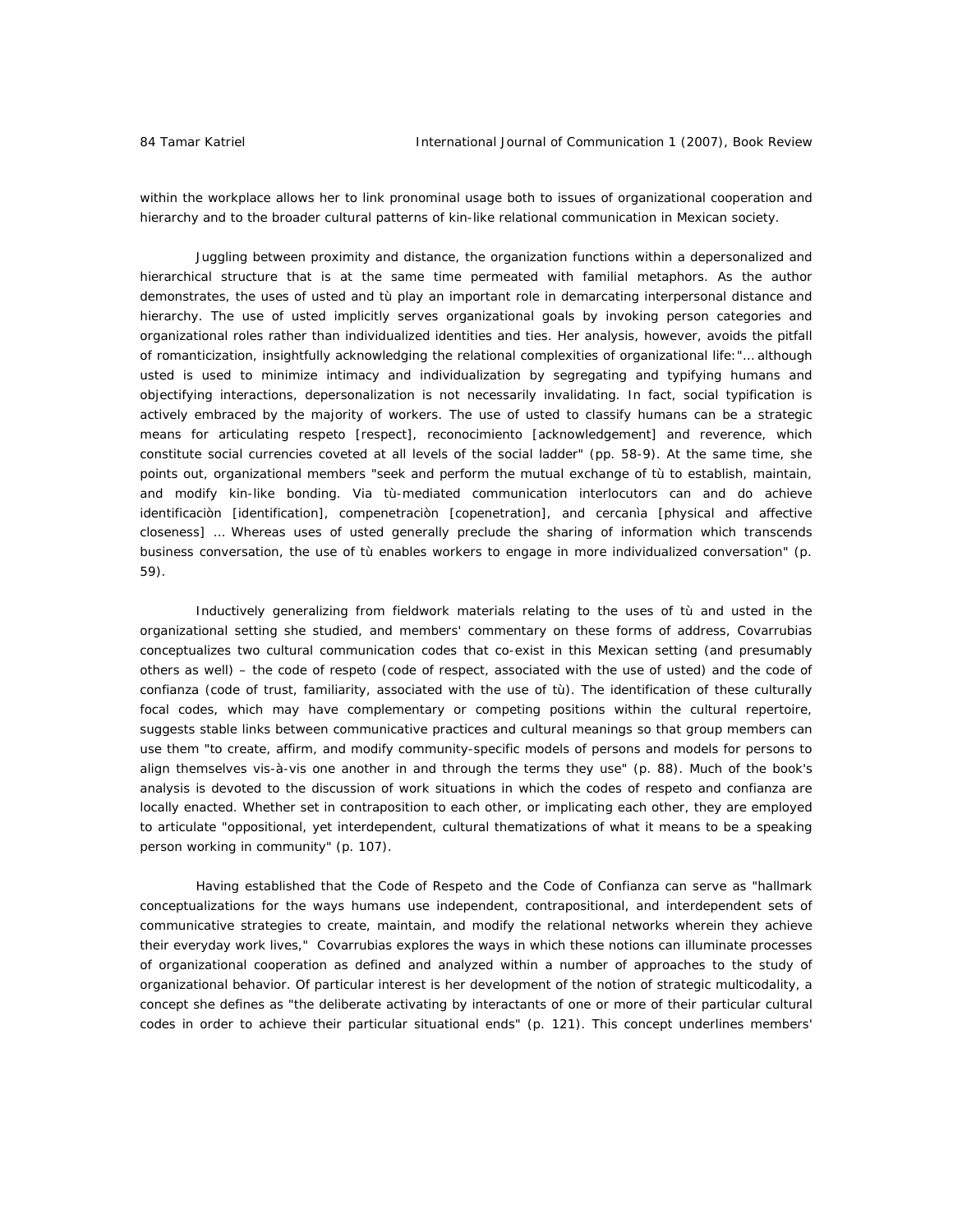within the workplace allows her to link pronominal usage both to issues of organizational cooperation and hierarchy and to the broader cultural patterns of kin-like relational communication in Mexican society.

Juggling between proximity and distance, the organization functions within a depersonalized and hierarchical structure that is at the same time permeated with familial metaphors. As the author demonstrates, the uses of *usted* and *tù* play an important role in demarcating interpersonal distance and hierarchy. The use of *usted* implicitly serves organizational goals by invoking person categories and organizational roles rather than individualized identities and ties. Her analysis, however, avoids the pitfall of romanticization, insightfully acknowledging the relational complexities of organizational life:"… although *usted* is used to minimize intimacy and individualization by segregating and typifying humans and objectifying interactions, depersonalization is not necessarily invalidating. In fact, social typification is actively embraced by the majority of workers. The use of *usted* to classify humans can be a strategic means for articulating *respeto* [respect], *reconocimiento* [acknowledgement] and reverence, which constitute social currencies coveted at all levels of the social ladder" (pp. 58-9). At the same time, she points out, organizational members "seek and perform the mutual exchange of *tù* to establish, maintain, and modify kin-like bonding. Via *tù*-mediated communication interlocutors can and do achieve *identificaciòn* [identification], *compenetraciòn* [copenetration], and *cercanìa* [physical and affective closeness] … Whereas uses of *usted* generally preclude the sharing of information which transcends business conversation, the use of *tù* enables workers to engage in more individualized conversation" (p. 59).

Inductively generalizing from fieldwork materials relating to the uses of *tù* and *usted* in the organizational setting she studied, and members' commentary on these forms of address, Covarrubias conceptualizes two cultural communication codes that co-exist in this Mexican setting (and presumably others as well) – the code of *respeto* (code of respect, associated with the use of *usted*) and the code of *confianza* (code of trust, familiarity, associated with the use of *tù*). The identification of these culturally focal codes, which may have complementary or competing positions within the cultural repertoire, suggests stable links between communicative practices and cultural meanings so that group members can use them "to create, affirm, and modify community-specific models of persons and models for persons to align themselves vis-à-vis one another in and through the terms they use" (p. 88). Much of the book's analysis is devoted to the discussion of work situations in which the codes of *respeto* and *confianza* are locally enacted. Whether set in contraposition to each other, or implicating each other, they are employed to articulate "oppositional, yet interdependent, cultural thematizations of what it means to be a speaking person working in community" (p. 107).

Having established that the Code of *Respeto* and the Code of *Confianza* can serve as "hallmark conceptualizations for the ways humans use independent, contrapositional, and interdependent sets of communicative strategies to create, maintain, and modify the relational networks wherein they achieve their everyday work lives," Covarrubias explores the ways in which these notions can illuminate processes of organizational cooperation as defined and analyzed within a number of approaches to the study of organizational behavior. Of particular interest is her development of the notion of strategic multicodality, a concept she defines as "the deliberate activating by interactants of one or more of their particular cultural codes in order to achieve their particular situational ends" (p. 121). This concept underlines members'